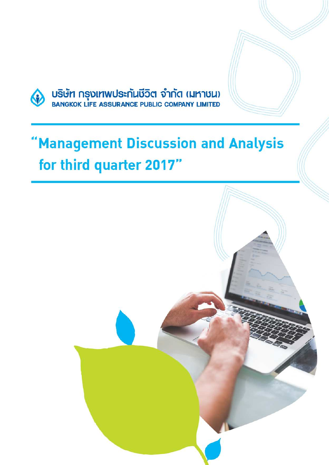

บริษัท กรุงเทพประกันชีวิต จำกัด (มหาชน)<br>BANGKOK LIFE ASSURANCE PUBLIC COMPANY LIMITED

# 'Management Discussion and Analysis for third quarter 2017"

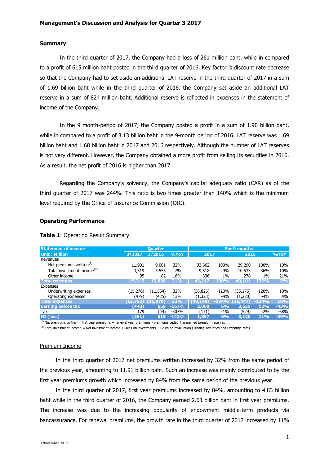### **Summary**

In the third quarter of 2017, the Company had a loss of 261 million baht, while in compared to a profit of 615 million baht posted in the third quarter of 2016. Key factor is discount rate decrease so that the Company had to set aside an additional LAT reserve in the third quarter of 2017 in a sum of 1.69 billion baht while in the third quarter of 2016, the Company set aside an additional LAT reserve in a sum of 824 million baht. Additional reserve is reflected in expenses in the statement of income of the Company.

In the 9 month-period of 2017, the Company posted a profit in a sum of 1.90 billion baht, while in compared to a profit of 3.13 billion baht in the 9-month period of 2016. LAT reserve was 1.69 billion baht and 1.68 billion baht in 2017 and 2016 respectively. Although the number of LAT reserves is not very different. However, the Company obtained a more profit from selling its securities in 2016. As a result, the net profit of 2016 is higher than 2017.

Regarding the Company's solvency, the Company's capital adequacy ratio (CAR) as of the third quarter of 2017 was 244%. This ratio is two times greater than 140% which is the minimum level required by the Office of Insurance Commission (OIC).

## **Operating Performance**

| <b>Statement of income</b>             |           | <b>Ouarter</b> |         | <b>For 9 months</b> |         |           |            |        |
|----------------------------------------|-----------|----------------|---------|---------------------|---------|-----------|------------|--------|
| <b>Unit: Million</b>                   | 3/2017    | 3/2016         | %YoY    | 2017                |         | 2016      |            | %YoY   |
| Revenues                               |           |                |         |                     |         |           |            |        |
| Net premiums written <sup>(1)</sup>    | 11,901    | 9,001          | 32%     | 32,362              | 100%    | 29,290    | 100%       | 10%    |
| Total investment income <sup>(2)</sup> | 3,319     | 3,555          | $-7%$   | 9,518               | 29%     | 10,533    | 36%        | $-10%$ |
| Other income                           | 95        | 82             | 16%     | 336                 | $1\%$   | 278       | $1\%$      | 21%    |
| <b>Total revenues</b>                  | 15,315    | 12,638         | 21%     | 42,217              | 130%    | 40,101    | 137%       | 5%     |
| Expenses                               |           |                |         |                     |         |           |            |        |
| Underwriting expenses                  | (15, 276) | (11, 554)      | 32%     | (38,826)            | $-120%$ | (35,176)  | $-120%$    | 10%    |
| Operating expenses                     | (479)     | (425)          | 13%     | (1,323)             | $-4%$   | (1,270)   | $-4%$      | 4%     |
| <b>Total expenses</b>                  | (15, 755) | (11, 979)      | 32%     | (40, 149)           | $-124%$ | (36, 447) | $-124%$    | 10%    |
| <b>Earning before tax</b>              | (440)     | 659            | $-167%$ | 2.068               | 6%      | 3,655     | 12%        | $-43%$ |
| Tax                                    | 179       | (44)           | -507%   | (171)               | $-1\%$  | (529)     | $-2%$      | $-68%$ |
| <b>NI</b> (loss)                       | (261)     | 615            | $-142%$ | 1,897               | 6%      | 3,126     | <b>11%</b> | $-39%$ |

#### **Table 1**: Operating Result Summary

 $<sup>(1)</sup>$  Net premiums written = first year premiums + renewal year premiums - premiums ceded  $\pm$  unearned premium reserves</sup>

 $^{(2)}$  Total investment income = Net investment income +Gains on investments + Gains on revaluation (Trading securities and Exchange rate)

#### Premium Income

In the third quarter of 2017 net premiums written increased by 32% from the same period of the previous year, amounting to 11.91 billion baht. Such an increase was mainly contributed to by the first year premiums growth which increased by 84% from the same period of the previous year.

In the third quarter of 2017, first year premiums increased by 84%, amounting to 4.83 billion baht while in the third quarter of 2016, the Company earned 2.63 billion baht in first year premiums. The increase was due to the increasing popularity of endowment middle-term products via bancassurance. For renewal premiums, the growth rate in the third quarter of 2017 increased by 11%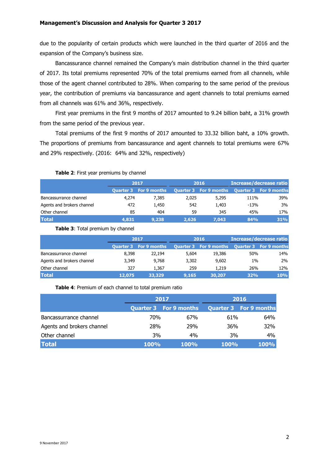due to the popularity of certain products which were launched in the third quarter of 2016 and the expansion of the Company's business size.

 Bancassurance channel remained the Company's main distribution channel in the third quarter of 2017. Its total premiums represented 70% of the total premiums earned from all channels, while those of the agent channel contributed to 28%. When comparing to the same period of the previous year, the contribution of premiums via bancassurance and agent channels to total premiums earned from all channels was 61% and 36%, respectively.

First year premiums in the first 9 months of 2017 amounted to 9.24 billion baht, a 31% growth from the same period of the previous year.

Total premiums of the first 9 months of 2017 amounted to 33.32 billion baht, a 10% growth. The proportions of premiums from bancassurance and agent channels to total premiums were 67% and 29% respectively. (2016: 64% and 32%, respectively)

### **Table 2**: First year premiums by channel

|                            | 2017  |                               |       | 2016                          | Increase/decrease ratio |                               |  |
|----------------------------|-------|-------------------------------|-------|-------------------------------|-------------------------|-------------------------------|--|
|                            |       | <b>Quarter 3 For 9 months</b> |       | <b>Quarter 3 For 9 months</b> |                         | <b>Quarter 3 For 9 months</b> |  |
| Bancassurrance channel     | 4,274 | 7.385                         | 2.025 | 5,295                         | 111%                    | 39%                           |  |
| Agents and brokers channel | 472   | 1,450                         | 542   | 1.403                         | $-13%$                  | 3%                            |  |
| Other channel              | 85    | 404                           | 59    | 345                           | 45%                     | 17%                           |  |
| <b>Total</b>               | 4,831 | 9,238                         | 2.626 | 7.043                         | 84%                     | 31%                           |  |

**Table 3**: Total premium by channel

|                            | 2017   |                               |       | 2016                          | <b>Increase/decrease ratio</b> |                               |  |
|----------------------------|--------|-------------------------------|-------|-------------------------------|--------------------------------|-------------------------------|--|
|                            |        | <b>Quarter 3 For 9 months</b> |       | <b>Quarter 3 For 9 months</b> |                                | <b>Quarter 3 For 9 months</b> |  |
| Bancassurrance channel     | 8.398  | 22,194                        | 5,604 | 19,386                        | 50%                            | 14%                           |  |
| Agents and brokers channel | 3.349  | 9.768                         | 3,302 | 9,602                         | $1\%$                          | 2%                            |  |
| Other channel              | 327    | 1.367                         | 259   | 1,219                         | 26%                            | 12%                           |  |
| <b>Total</b>               | 12,075 | 33,329                        | 9,165 | 30,207                        | 32%                            | 10%                           |  |

**Table 4**: Premium of each channel to total premium ratio

|                            |             | 2017                          | 2016        |                               |
|----------------------------|-------------|-------------------------------|-------------|-------------------------------|
|                            |             | <b>Quarter 3 For 9 months</b> |             | <b>Quarter 3 For 9 months</b> |
| Bancassurrance channel     | 70%         | 67%                           | 61%         | 64%                           |
| Agents and brokers channel | 28%         | 29%                           | 36%         | 32%                           |
| Other channel              | 3%          | 4%                            | 3%          | 4%                            |
| <b>Total</b>               | <b>100%</b> | <b>100%</b>                   | <b>100%</b> | 100%                          |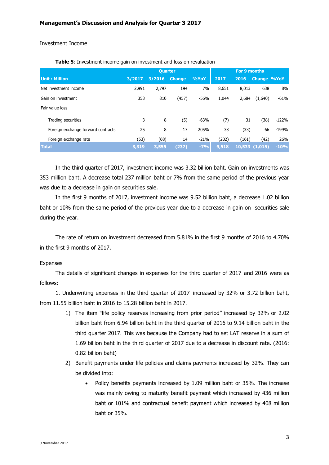### Investment Income

|                                    | <b>Quarter</b> |        |               |        |       | <b>For 9 months</b> |                    |         |
|------------------------------------|----------------|--------|---------------|--------|-------|---------------------|--------------------|---------|
| <b>Unit: Million</b>               | 3/2017         | 3/2016 | <b>Change</b> | %YoY   | 2017  | 2016                | <b>Change %YoY</b> |         |
| Net investment income              | 2,991          | 2,797  | 194           | 7%     | 8,651 | 8,013               | 638                | 8%      |
| Gain on investment                 | 353            | 810    | (457)         | $-56%$ | 1,044 | 2,684               | (1,640)            | $-61%$  |
| Fair value loss                    |                |        |               |        |       |                     |                    |         |
| Trading securities                 | 3              | 8      | (5)           | $-63%$ | (7)   | 31                  | (38)               | $-122%$ |
| Foreign exchange forward contracts | 25             | 8      | 17            | 205%   | 33    | (33)                | 66                 | $-199%$ |
| Foreign exchange rate              | (53)           | (68)   | 14            | $-21%$ | (202) | (161)               | (42)               | 26%     |
| <b>Total</b>                       | 3,319          | 3,555  | (237)         | $-7%$  | 9,518 |                     | 10,533(1,015)      | $-10%$  |

**Table 5**: Investment income gain on investment and loss on revaluation

In the third quarter of 2017, investment income was 3.32 billion baht. Gain on investments was 353 million baht. A decrease total 237 million baht or 7% from the same period of the previous year was due to a decrease in gain on securities sale.

In the first 9 months of 2017, investment income was 9.52 billion baht, a decrease 1.02 billion baht or 10% from the same period of the previous year due to a decrease in gain on securities sale during the year.

The rate of return on investment decreased from 5.81% in the first 9 months of 2016 to 4.70% in the first 9 months of 2017.

### **Expenses**

The details of significant changes in expenses for the third quarter of 2017 and 2016 were as follows:

1. Underwriting expenses in the third quarter of 2017 increased by 32% or 3.72 billion baht, from 11.55 billion baht in 2016 to 15.28 billion baht in 2017.

- 1) The item "life policy reserves increasing from prior period" increased by 32% or 2.02 billion baht from 6.94 billion baht in the third quarter of 2016 to 9.14 billion baht in the third quarter 2017. This was because the Company had to set LAT reserve in a sum of 1.69 billion baht in the third quarter of 2017 due to a decrease in discount rate. (2016: 0.82 billion baht)
- 2) Benefit payments under life policies and claims payments increased by 32%. They can be divided into:
	- Policy benefits payments increased by 1.09 million baht or 35%. The increase was mainly owing to maturity benefit payment which increased by 436 million baht or 101% and contractual benefit payment which increased by 408 million baht or 35%.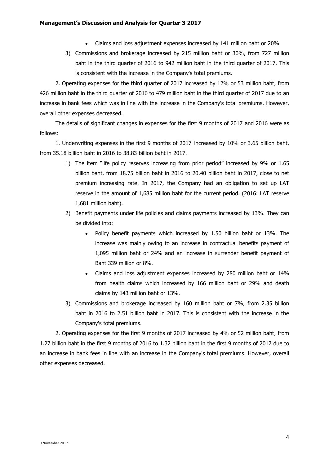- Claims and loss adjustment expenses increased by 141 million baht or 20%.
- 3) Commissions and brokerage increased by 215 million baht or 30%, from 727 million baht in the third quarter of 2016 to 942 million baht in the third quarter of 2017. This is consistent with the increase in the Company's total premiums.

2. Operating expenses for the third quarter of 2017 increased by 12% or 53 million baht, from 426 million baht in the third quarter of 2016 to 479 million baht in the third quarter of 2017 due to an increase in bank fees which was in line with the increase in the Company's total premiums. However, overall other expenses decreased.

The details of significant changes in expenses for the first 9 months of 2017 and 2016 were as follows:

1. Underwriting expenses in the first 9 months of 2017 increased by 10% or 3.65 billion baht, from 35.18 billion baht in 2016 to 38.83 billion baht in 2017.

- 1) The item "life policy reserves increasing from prior period" increased by 9% or 1.65 billion baht, from 18.75 billion baht in 2016 to 20.40 billion baht in 2017, close to net premium increasing rate. In 2017, the Company had an obligation to set up LAT reserve in the amount of 1,685 million baht for the current period. (2016: LAT reserve 1,681 million baht).
- 2) Benefit payments under life policies and claims payments increased by 13%. They can be divided into:
	- Policy benefit payments which increased by 1.50 billion baht or 13%. The increase was mainly owing to an increase in contractual benefits payment of 1,095 million baht or 24% and an increase in surrender benefit payment of Baht 339 million or 8%.
	- Claims and loss adjustment expenses increased by 280 million baht or 14% from health claims which increased by 166 million baht or 29% and death claims by 143 million baht or 13%.
- 3) Commissions and brokerage increased by 160 million baht or 7%, from 2.35 billion baht in 2016 to 2.51 billion baht in 2017. This is consistent with the increase in the Company's total premiums.

2. Operating expenses for the first 9 months of 2017 increased by 4% or 52 million baht, from 1.27 billion baht in the first 9 months of 2016 to 1.32 billion baht in the first 9 months of 2017 due to an increase in bank fees in line with an increase in the Company's total premiums. However, overall other expenses decreased.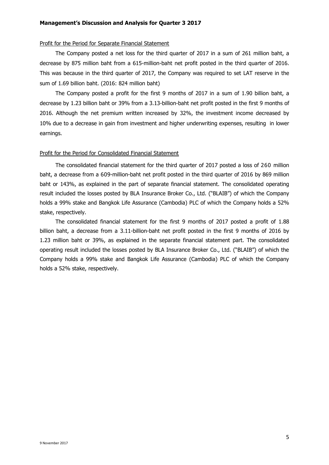#### **Management's Discussion and Analysis for Quarter 3 2017**

#### Profit for the Period for Separate Financial Statement

The Company posted a net loss for the third quarter of 2017 in a sum of 261 million baht, a decrease by 875 million baht from a 615-million-baht net profit posted in the third quarter of 2016. This was because in the third quarter of 2017, the Company was required to set LAT reserve in the sum of 1.69 billion baht. (2016: 824 million baht)

The Company posted a profit for the first 9 months of 2017 in a sum of 1.90 billion baht, a decrease by 1.23 billion baht or 39% from a 3.13-billion-baht net profit posted in the first 9 months of 2016. Although the net premium written increased by 32%, the investment income decreased by 10% due to a decrease in gain from investment and higher underwriting expenses, resulting in lower earnings.

## Profit for the Period for Consolidated Financial Statement

The consolidated financial statement for the third quarter of 2017 posted a loss of 260 million baht, a decrease from a 609-million-baht net profit posted in the third quarter of 2016 by 869 million baht or 143%, as explained in the part of separate financial statement. The consolidated operating result included the losses posted by BLA Insurance Broker Co., Ltd. ("BLAIB") of which the Company holds a 99% stake and Bangkok Life Assurance (Cambodia) PLC of which the Company holds a 52% stake, respectively.

The consolidated financial statement for the first 9 months of 2017 posted a profit of 1.88 billion baht, a decrease from a 3.11-billion-baht net profit posted in the first 9 months of 2016 by 1.23 million baht or 39%, as explained in the separate financial statement part. The consolidated operating result included the losses posted by BLA Insurance Broker Co., Ltd. ("BLAIB") of which the Company holds a 99% stake and Bangkok Life Assurance (Cambodia) PLC of which the Company holds a 52% stake, respectively.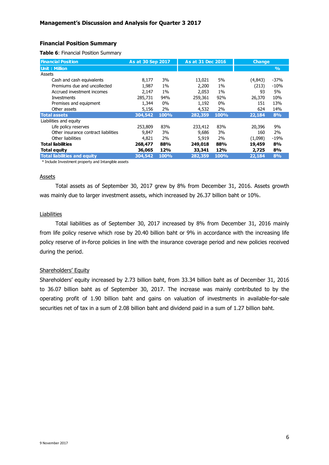# **Financial Position Summary**

**Table 6**: Financial Position Summary

| <b>Financial Position</b>            | As at 30 Sep 2017 |       | As at 31 Dec 2016 |       | <b>Change</b> |               |
|--------------------------------------|-------------------|-------|-------------------|-------|---------------|---------------|
| Unit: Million                        |                   |       |                   |       |               | $\frac{9}{6}$ |
| Assets                               |                   |       |                   |       |               |               |
| Cash and cash equivalents            | 8,177             | 3%    | 13,021            | 5%    | (4,843)       | $-37%$        |
| Premiums due and uncollected         | 1,987             | $1\%$ | 2,200             | 1%    | (213)         | $-10%$        |
| Accrued investment incomes           | 2.147             | $1\%$ | 2,053             | $1\%$ | 93            | 5%            |
| Investments                          | 285,731           | 94%   | 259,361           | 92%   | 26,370        | 10%           |
| Premises and equipment               | 1,344             | 0%    | 1,192             | 0%    | 151           | 13%           |
| Other assets                         | 5,156             | 2%    | 4,532             | 2%    | 624           | 14%           |
| <b>Total assets</b>                  | 304,542           | 100%  | 282,359           | 100%  | 22,184        | 8%            |
| Liabilities and equity               |                   |       |                   |       |               |               |
| Life policy reserves                 | 253,809           | 83%   | 233,412           | 83%   | 20,396        | 9%            |
| Other insurance contract liabilities | 9,847             | 3%    | 9,686             | 3%    | 160           | 2%            |
| Other liabilities                    | 4,821             | 2%    | 5,919             | 2%    | (1,098)       | $-19%$        |
| <b>Total liabilities</b>             | 268,477           | 88%   | 249,018           | 88%   | 19,459        | 8%            |
| Total equity                         | 36,065            | 12%   | 33,341            | 12%   | 2,725         | 8%            |
| <b>Total liabilities and equity</b>  | 304,542           | 100%  | 282,359           | 100%  | 22,184        | 8%            |

\* Include Investment property and Intangible assets

#### Assets

Total assets as of September 30, 2017 grew by 8% from December 31, 2016. Assets growth was mainly due to larger investment assets, which increased by 26.37 billion baht or 10%.

## **Liabilities**

Total liabilities as of September 30, 2017 increased by 8% from December 31, 2016 mainly from life policy reserve which rose by 20.40 billion baht or 9% in accordance with the increasing life policy reserve of in-force policies in line with the insurance coverage period and new policies received during the period.

## Shareholders' Equity

Shareholders' equity increased by 2.73 billion baht, from 33.34 billion baht as of December 31, 2016 to 36.07 billion baht as of September 30, 2017. The increase was mainly contributed to by the operating profit of 1.90 billion baht and gains on valuation of investments in available-for-sale securities net of tax in a sum of 2.08 billion baht and dividend paid in a sum of 1.27 billion baht.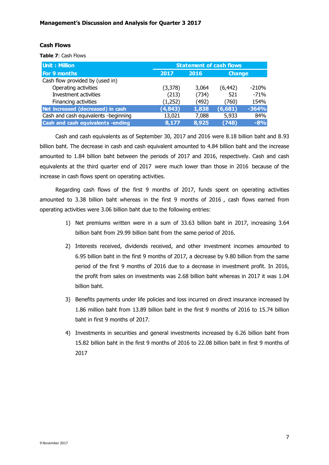## **Cash Flows**

**Table 7**: Cash Flows

| <b>Unit: Million</b>                 | <b>Statement of cash flows</b> |       |               |         |  |  |  |
|--------------------------------------|--------------------------------|-------|---------------|---------|--|--|--|
| For 9 months                         | 2017                           | 2016  | <b>Change</b> |         |  |  |  |
| Cash flow provided by (used in)      |                                |       |               |         |  |  |  |
| Operating activities                 | (3,378)                        | 3,064 | (6, 442)      | $-210%$ |  |  |  |
| Investment activities                | (213)                          | (734) | 521           | $-71%$  |  |  |  |
| Financing activities                 | (1,252)                        | (492) | (760)         | 154%    |  |  |  |
| Net increased (decreased) in cash    | (4, 843)                       | 1,838 | (6, 681)      | $-364%$ |  |  |  |
| Cash and cash equivalents -beginning | 13,021                         | 7,088 | 5,933         | 84%     |  |  |  |
| Cash and cash equivalents -ending    | 8,177                          | 8,925 | (748)         | $-8%$   |  |  |  |

Cash and cash equivalents as of September 30, 2017 and 2016 were 8.18 billion baht and 8.93 billion baht. The decrease in cash and cash equivalent amounted to 4.84 billion baht and the increase amounted to 1.84 billion baht between the periods of 2017 and 2016, respectively. Cash and cash equivalents at the third quarter end of 2017 were much lower than those in 2016 because of the increase in cash flows spent on operating activities.

Regarding cash flows of the first 9 months of 2017, funds spent on operating activities amounted to 3.38 billion baht whereas in the first 9 months of 2016 , cash flows earned from operating activities were 3.06 billion baht due to the following entries:

- 1) Net premiums written were in a sum of 33.63 billion baht in 2017, increasing 3.64 billion baht from 29.99 billion baht from the same period of 2016.
- 2) Interests received, dividends received, and other investment incomes amounted to 6.95 billion baht in the first 9 months of 2017, a decrease by 9.80 billion from the same period of the first 9 months of 2016 due to a decrease in investment profit. In 2016, the profit from sales on investments was 2.68 billion baht whereas in 2017 it was 1.04 billion baht.
- 3) Benefits payments under life policies and loss incurred on direct insurance increased by 1.86 million baht from 13.89 billion baht in the first 9 months of 2016 to 15.74 billion baht in first 9 months of 2017.
- 4) Investments in securities and general investments increased by 6.26 billion baht from 15.82 billion baht in the first 9 months of 2016 to 22.08 billion baht in first 9 months of 2017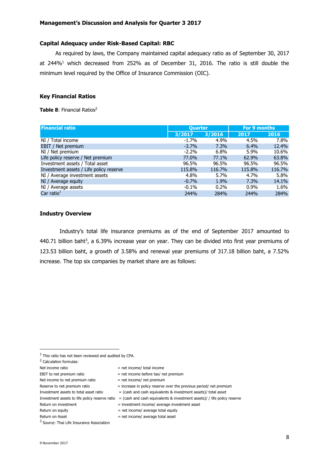## **Capital Adequacy under Risk-Based Capital: RBC**

As required by laws, the Company maintained capital adequacy ratio as of September 30, 2017 at 244%<sup>1</sup> which decreased from 252% as of December 31, 2016. The ratio is still double the minimum level required by the Office of Insurance Commission (OIC).

# **Key Financial Ratios**

**Table 8: Financial Ratios<sup>2</sup>** 

| <b>Financial ratio</b>                  | <b>Quarter</b> |         | For 9 months |        |
|-----------------------------------------|----------------|---------|--------------|--------|
|                                         | 3/2017         | 3/2016  | 2017         | 2016   |
| NI / Total income                       | $-1.7%$        | 4.9%    | 4.5%         | 7.8%   |
| EBIT / Net premium                      | $-3.7%$        | 7.3%    | 6.4%         | 12.4%  |
| NI / Net premium                        | $-2.2%$        | $6.8\%$ | 5.9%         | 10.6%  |
| Life policy reserve / Net premium       | 77.0%          | 77.1%   | 62.9%        | 63.8%  |
| Investment assets / Total asset         | 96.5%          | 96.5%   | 96.5%        | 96.5%  |
| Investment assets / Life policy reserve | 115.8%         | 116.7%  | 115.8%       | 116.7% |
| NI / Average investment assets          | 4.8%           | 5.7%    | 4.7%         | 5.8%   |
| NI / Average equity                     | $-0.7%$        | 1.9%    | 7.3%         | 14.1%  |
| NI / Average assets                     | $-0.1\%$       | 0.2%    | $0.9\%$      | 1.6%   |
| Car ratio $1$                           | 244%           | 284%    | 244%         | 284%   |

### **Industry Overview**

Industry's total life insurance premiums as of the end of September 2017 amounted to  $440.71$  billion baht<sup>3</sup>, a 6.39% increase year on year. They can be divided into first year premiums of 123.53 billion baht, a growth of 3.58% and renewal year premiums of 317.18 billion baht, a 7.52% increase. The top six companies by market share are as follows:

1

- Net income to net premium ratio  $=$  net income/ net premium
- 
- Reserve to net premium ratio  $=$  increase in policy reserve over the previous period/ net premium
- Investment assets to total asset ratio  $=$  (cash and cash equivalents & investment assets)/ total asset
- Investment assets to life policy reserve ratio = (cash and cash equivalents & investment assets)/ / life policy reserve
- Return on investment = investment income/ average investment asset
- Return on equity  $=$  net income/ average total equity

 $1$  This ratio has not been reviewed and audited by CPA.

<sup>2</sup> Calculation formulas:

Net income ratio  $=$  net income/ total income

EBIT to net premium ratio  $=$  net income before tax/ net premium

Return on Asset  $=$  net income/ average total asset

<sup>&</sup>lt;sup>3</sup> Source: Thai Life Insurance Association